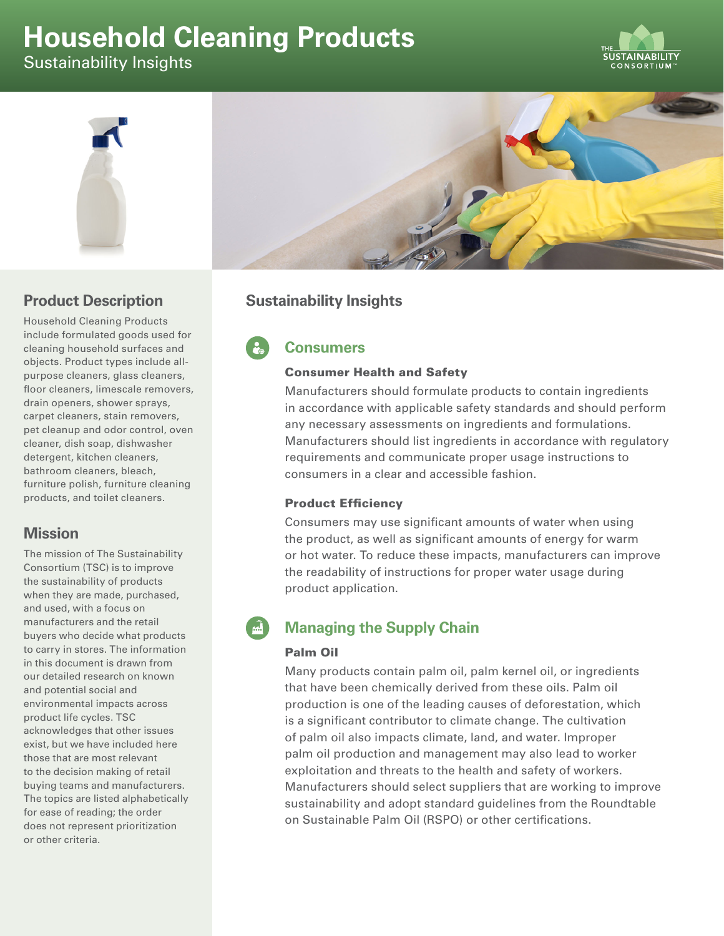# **Household Cleaning Products**

Sustainability Insights





## **Product Description**

Household Cleaning Products include formulated goods used for cleaning household surfaces and objects. Product types include allpurpose cleaners, glass cleaners, floor cleaners, limescale removers, drain openers, shower sprays, carpet cleaners, stain removers, pet cleanup and odor control, oven cleaner, dish soap, dishwasher detergent, kitchen cleaners, bathroom cleaners, bleach, furniture polish, furniture cleaning products, and toilet cleaners.

## **Mission**

The mission of The Sustainability Consortium (TSC) is to improve the sustainability of products when they are made, purchased, and used, with a focus on manufacturers and the retail buyers who decide what products to carry in stores. The information in this document is drawn from our detailed research on known and potential social and environmental impacts across product life cycles. TSC acknowledges that other issues exist, but we have included here those that are most relevant to the decision making of retail buying teams and manufacturers. The topics are listed alphabetically for ease of reading; the order does not represent prioritization or other criteria.

# **Sustainability Insights**

# **Consumers**

#### Consumer Health and Safety

Manufacturers should formulate products to contain ingredients in accordance with applicable safety standards and should perform any necessary assessments on ingredients and formulations. Manufacturers should list ingredients in accordance with regulatory requirements and communicate proper usage instructions to consumers in a clear and accessible fashion.

### Product Efficiency

Consumers may use significant amounts of water when using the product, as well as significant amounts of energy for warm or hot water. To reduce these impacts, manufacturers can improve the readability of instructions for proper water usage during product application.

# **Managing the Supply Chain**

### Palm Oil

Many products contain palm oil, palm kernel oil, or ingredients that have been chemically derived from these oils. Palm oil production is one of the leading causes of deforestation, which is a significant contributor to climate change. The cultivation of palm oil also impacts climate, land, and water. Improper palm oil production and management may also lead to worker exploitation and threats to the health and safety of workers. Manufacturers should select suppliers that are working to improve sustainability and adopt standard guidelines from the Roundtable on Sustainable Palm Oil (RSPO) or other certifications.